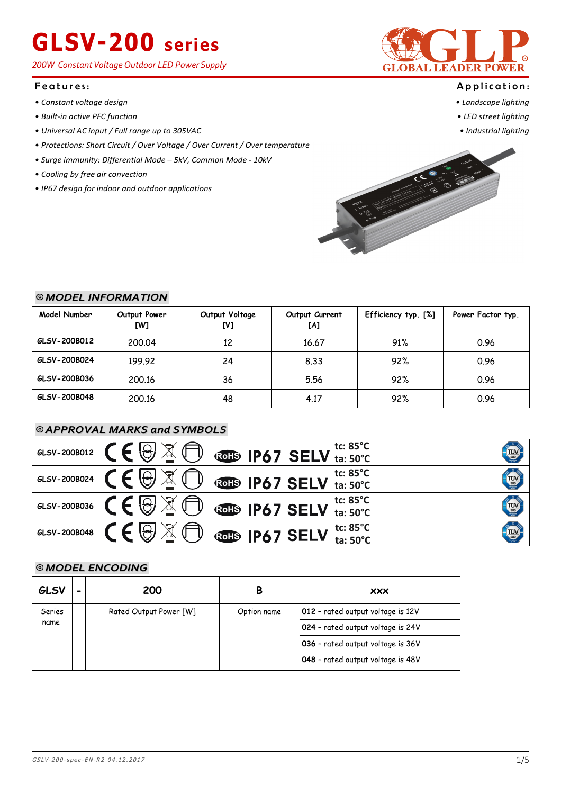*200W Constant Voltage Outdoor LED Power Supply*

#### Features:

- *Constant voltage design*
- *Built-in active PFC function*
- *Universal AC input / Full range up to 305VAC*
- *Protections: Short Circuit / Over Voltage / Over Current / Over temperature*
- *Surge immunity: Differential Mode 5kV, Common Mode 10kV*
- *Cooling by free air convection*
- *IP67 design for indoor and outdoor applications*



#### Application:

- *Landscape lighting*
- *LED street lighting*
- *Industrial lighting*



### ⦾ *MODEL INFORMATION MODEL INFORMATION*

| Model Number | Output Power<br>[W] | Output Voltage<br>[V] | Output Current<br>[A] | Efficiency typ. [%] | Power Factor typ. |
|--------------|---------------------|-----------------------|-----------------------|---------------------|-------------------|
| GLSV-200B012 | 200.04              | 12                    | 16.67                 | 91%                 | 0.96              |
| GLSV-200B024 | 199.92              | 24                    | 8.33                  | 92%                 | 0.96              |
| GLSV-200B036 | 200.16              | 36                    | 5.56                  | 92%                 | 0.96              |
| GLSV-200B048 | 200.16              | 48                    | 4.17                  | 92%                 | 0.96              |

### ⦾ *APPROVAL MARKS and SYMBOLS*

| GLSV-200B012 | <b>D</b> corresponding the second $\sum_{\text{ta: } 50^{\circ} \text{C}}$<br>$\mathbb{X}$<br>$\Theta'$  | TUV        |
|--------------|----------------------------------------------------------------------------------------------------------|------------|
| GLSV-200B024 | <b>D</b> corresponding the sector $\frac{1}{2}$ for $\frac{1}{2}$<br>$\cancel{\mathbb{R}}$<br>$\bigcirc$ | <b>TUV</b> |
| GLSV-200B036 | 図<br><b>D</b> corp IP67 SELV ta: 50°C<br>$\Theta$                                                        | <b>TUV</b> |
| GLSV-200B048 | $\boxtimes$<br>GOHS IP67 SELV $_{\text{ta: }50^{\circ}C}^{\text{tc: }85^{\circ}C}$<br>$\Theta$           | TUV<br>SUD |

### ⦾ *MODEL ENCODING*

| GLSV   | - | 200                    |             | <b>XXX</b>                        |
|--------|---|------------------------|-------------|-----------------------------------|
| Series |   | Rated Output Power [W] | Option name | 012 - rated output voltage is 12V |
| name   |   |                        |             | 024 - rated output voltage is 24V |
|        |   |                        |             | 036 - rated output voltage is 36V |
|        |   |                        |             | 048 - rated output voltage is 48V |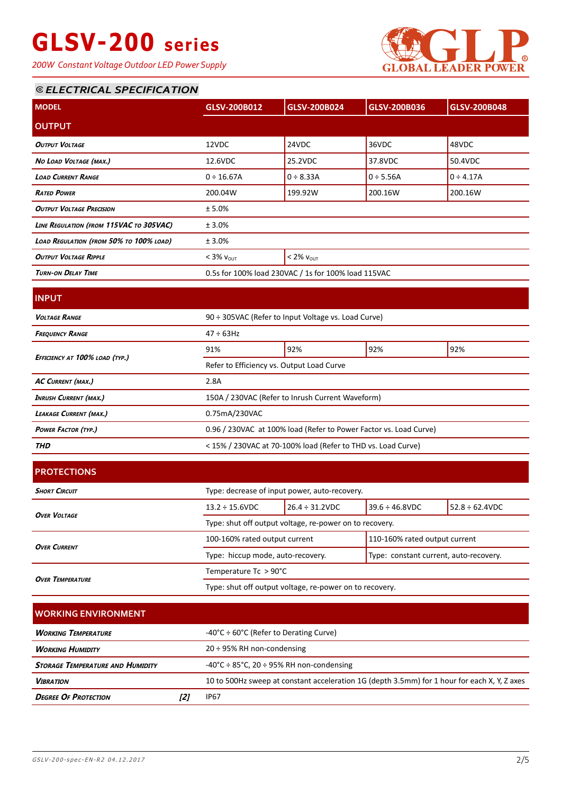*200W Constant Voltage Outdoor LED Power Supply*



### ⦾ *ELECTRICAL SPECIFICATION*

| <b>MODEL</b>                            | GLSV-200B012                                        | GLSV-200B024   | GLSV-200B036   | GLSV-200B048   |
|-----------------------------------------|-----------------------------------------------------|----------------|----------------|----------------|
|                                         |                                                     |                |                |                |
| <b>OUTPUT</b>                           |                                                     |                |                |                |
| OUTPUT VOLTAGE                          | 12VDC                                               | 24VDC          | 36VDC          | 48VDC          |
| NO LOAD VOLTAGE (MAX.)                  | 12.6VDC                                             | 25.2VDC        | 37.8VDC        | 50.4VDC        |
| <b>LOAD CURRENT RANGE</b>               | $0 \div 16.67A$                                     | $0 \div 8.33A$ | $0 \div 5.56A$ | $0 \div 4.17A$ |
| <b>RATED POWER</b>                      | 200.04W                                             | 199.92W        | 200.16W        | 200.16W        |
| <b>OUTPUT VOLTAGE PRECISION</b>         | ± 5.0%                                              |                |                |                |
| LINE REGULATION (FROM 115VAC TO 305VAC) | ± 3.0%                                              |                |                |                |
| LOAD REGULATION (FROM 50% TO 100% LOAD) | ± 3.0%                                              |                |                |                |
| <b>OUTPUT VOLTAGE RIPPLE</b>            | $< 3\% v_{OUT}$<br>$< 2\%$ $V_{OUT}$                |                |                |                |
| <b>TURN-ON DELAY TIME</b>               | 0.5s for 100% load 230VAC / 1s for 100% load 115VAC |                |                |                |
|                                         |                                                     |                |                |                |
| <b>INPUT</b>                            |                                                     |                |                |                |
|                                         |                                                     |                |                |                |

| <b>VOLTAGE RANGE</b>           | 90 ÷ 305VAC (Refer to Input Voltage vs. Load Curve)               |     |     |     |  |
|--------------------------------|-------------------------------------------------------------------|-----|-----|-----|--|
| <b>FREQUENCY RANGE</b>         | $47 \div 63$ Hz                                                   |     |     |     |  |
|                                | 91%                                                               | 92% | 92% | 92% |  |
| EFFICIENCY AT 100% LOAD (TYP.) | Refer to Efficiency vs. Output Load Curve                         |     |     |     |  |
| <b>AC CURRENT (MAX.)</b>       | 2.8A                                                              |     |     |     |  |
| <b>INRUSH CURRENT (MAX.)</b>   | 150A / 230VAC (Refer to Inrush Current Waveform)                  |     |     |     |  |
| <b>LEAKAGE CURRENT (MAX.)</b>  | 0.75mA/230VAC                                                     |     |     |     |  |
| <b>POWER FACTOR (TYP.)</b>     | 0.96 / 230VAC at 100% load (Refer to Power Factor vs. Load Curve) |     |     |     |  |
| <b>THD</b>                     | < 15% / 230VAC at 70-100% load (Refer to THD vs. Load Curve)      |     |     |     |  |
|                                |                                                                   |     |     |     |  |

| <b>PROTECTIONS</b>      |                                                         |                      |                                        |                      |  |
|-------------------------|---------------------------------------------------------|----------------------|----------------------------------------|----------------------|--|
| <b>SHORT CIRCUIT</b>    | Type: decrease of input power, auto-recovery.           |                      |                                        |                      |  |
| <b>OVER VOLTAGE</b>     | $13.2 \div 15.6$ VDC                                    | $26.4 \div 31.2$ VDC | $39.6 \div 46.8$ VDC                   | $52.8 \div 62.4$ VDC |  |
|                         | Type: shut off output voltage, re-power on to recovery. |                      |                                        |                      |  |
| <b>OVER CURRENT</b>     | 100-160% rated output current                           |                      | 110-160% rated output current          |                      |  |
|                         | Type: hiccup mode, auto-recovery.                       |                      | Type: constant current, auto-recovery. |                      |  |
| <b>OVER TEMPERATURE</b> | Temperature Tc > 90°C                                   |                      |                                        |                      |  |
|                         | Type: shut off output voltage, re-power on to recovery. |                      |                                        |                      |  |

| I WORKING ENVIRONMENT                   |  |                                                                                              |  |  |  |
|-----------------------------------------|--|----------------------------------------------------------------------------------------------|--|--|--|
| <b>WORKING TEMPERATURE</b>              |  | $-40^{\circ}$ C ÷ 60°C (Refer to Derating Curve)                                             |  |  |  |
| <b>WORKING HUMIDITY</b>                 |  | $20 \div 95\%$ RH non-condensing                                                             |  |  |  |
| <b>STORAGE TEMPERATURE AND HUMIDITY</b> |  | $-40^{\circ}$ C ÷ 85 $^{\circ}$ C, 20 ÷ 95% RH non-condensing                                |  |  |  |
| <b><i>VIBRATION</i></b>                 |  | 10 to 500Hz sweep at constant acceleration 1G (depth 3.5mm) for 1 hour for each X, Y, Z axes |  |  |  |
| <b>DEGREE OF PROTECTION</b>             |  | IP67                                                                                         |  |  |  |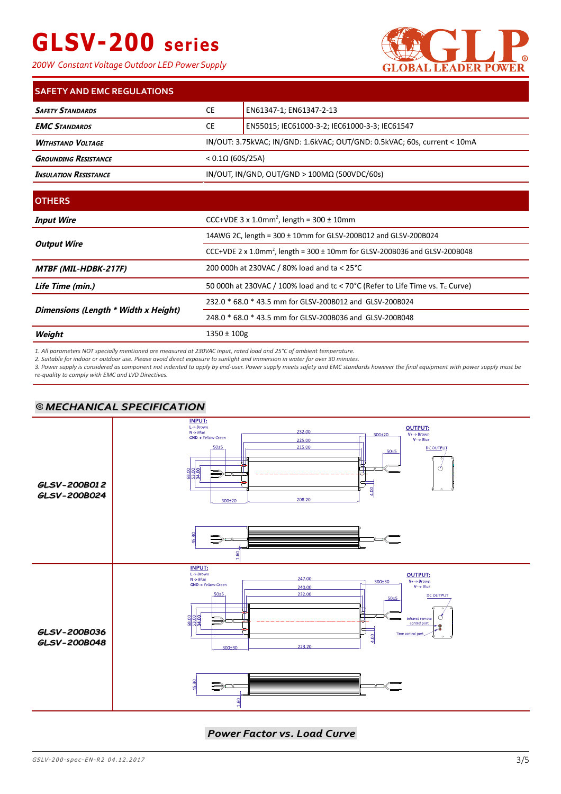*200W Constant Voltage Outdoor LED Power Supply*



| <b>SAFETY AND EMC REGULATIONS</b>                                                                    |                          |                                               |
|------------------------------------------------------------------------------------------------------|--------------------------|-----------------------------------------------|
| <b>SAFETY STANDARDS</b>                                                                              | <b>CE</b>                | EN61347-1; EN61347-2-13                       |
| <b>EMC STANDARDS</b>                                                                                 | <b>CE</b>                | EN55015; IEC61000-3-2; IEC61000-3-3; IEC61547 |
| IN/OUT: 3.75kVAC; IN/GND: 1.6kVAC; OUT/GND: 0.5kVAC; 60s, current < 10mA<br><b>WITHSTAND VOLTAGE</b> |                          |                                               |
| <b>GROUNDING RESISTANCE</b>                                                                          | $< 0.1 \Omega$ (60S/25A) |                                               |
| IN/OUT, IN/GND, OUT/GND > $100M\Omega$ (500VDC/60s)<br><b>INSULATION RESISTANCE</b>                  |                          |                                               |

| <b>OTHERS</b>                        |                                                                                            |  |
|--------------------------------------|--------------------------------------------------------------------------------------------|--|
| <b>Input Wire</b>                    | CCC+VDE $3 \times 1.0$ mm <sup>2</sup> , length = $300 \pm 10$ mm                          |  |
|                                      | 14AWG 2C, length = 300 ± 10mm for GLSV-200B012 and GLSV-200B024                            |  |
| <b>Output Wire</b>                   | CCC+VDE 2 x 1.0mm <sup>2</sup> , length = 300 $\pm$ 10mm for GLSV-200B036 and GLSV-200B048 |  |
| <b>MTBF (MIL-HDBK-217F)</b>          | 200 000h at 230VAC / 80% load and ta < 25°C                                                |  |
| Life Time (min.)                     | 50 000h at 230VAC / 100% load and tc < 70°C (Refer to Life Time vs. $T_c$ Curve)           |  |
|                                      | 232.0 * 68.0 * 43.5 mm for GLSV-200B012 and GLSV-200B024                                   |  |
| Dimensions (Length * Width x Height) | 248.0 * 68.0 * 43.5 mm for GLSV-200B036 and GLSV-200B048                                   |  |
| Weight                               | 1350 ± 100g                                                                                |  |

*1. All parameters NOT specially mentioned are measured at 230VAC input, rated load and 25°C of ambient temperature.*

*2. Suitable for indoor or outdoor use. Please avoid direct exposure to sunlight and immersion in water for over 30 minutes.*

*3. Power supply is considered as component not indented to apply by end-user. Power supply meets safety and EMC standards however the final equipment with power supply must be re-quality to comply with EMC and LVD Directives.*

### ⦾ *MECHANICAL SPECIFICATION MECHANICAL SPECIFICATION*



*Power Factor vs. Load Curve*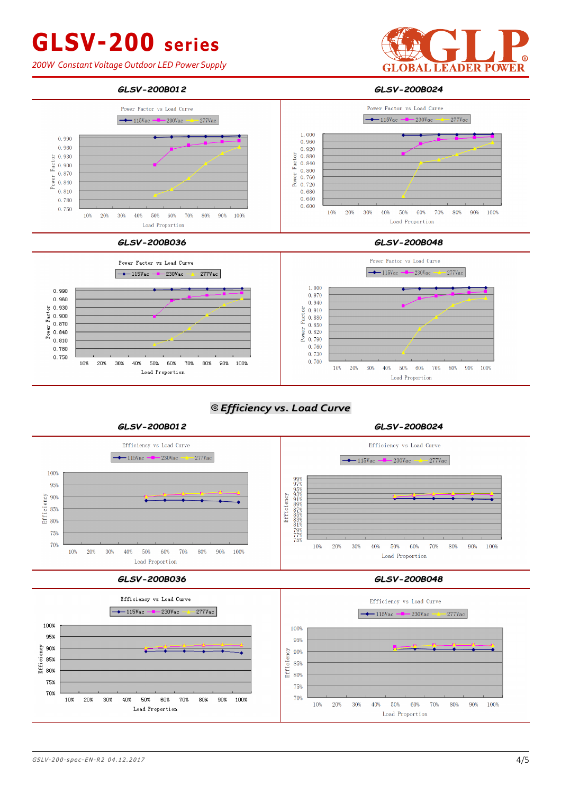*200W Constant Voltage Outdoor LED Power Supply*









### ⦾ *Efficiency vs. Load Curve Efficiency vs. Load Curve*